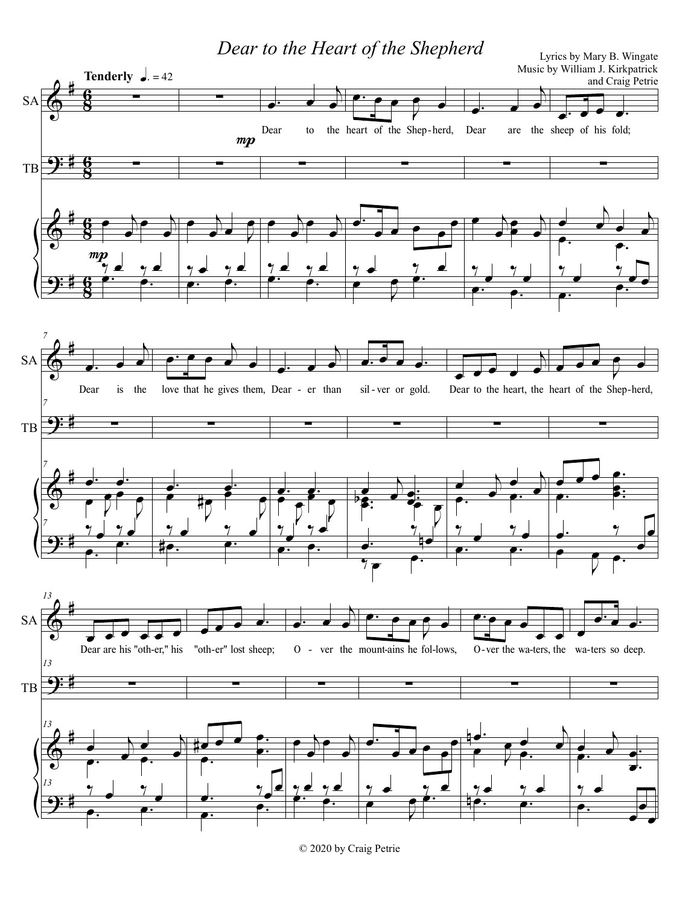Dear to the Heart of the Shepherd Lyrics by Mary B. Wingate



© 2020 by Craig Petrie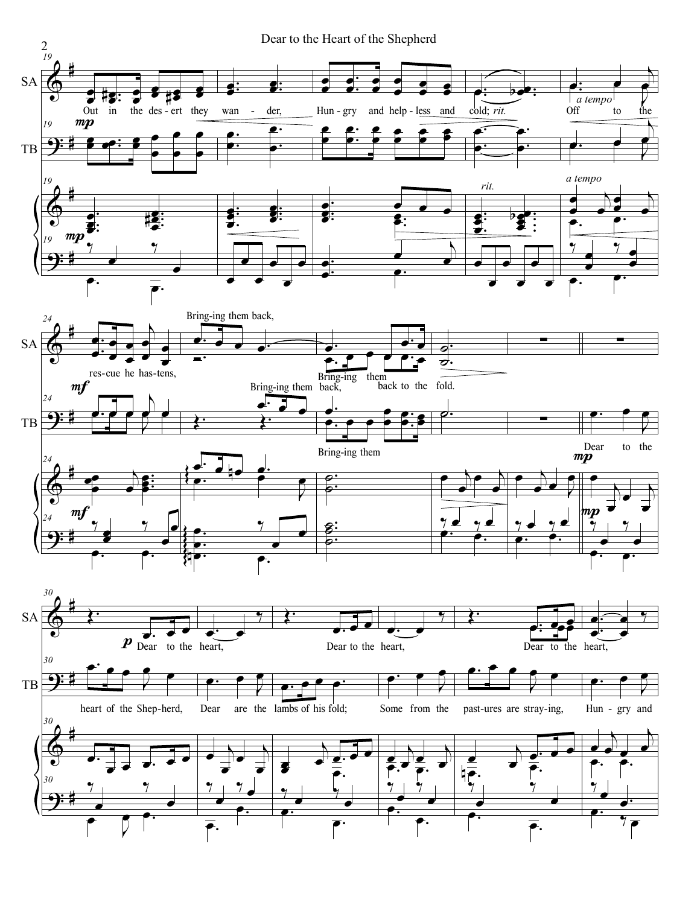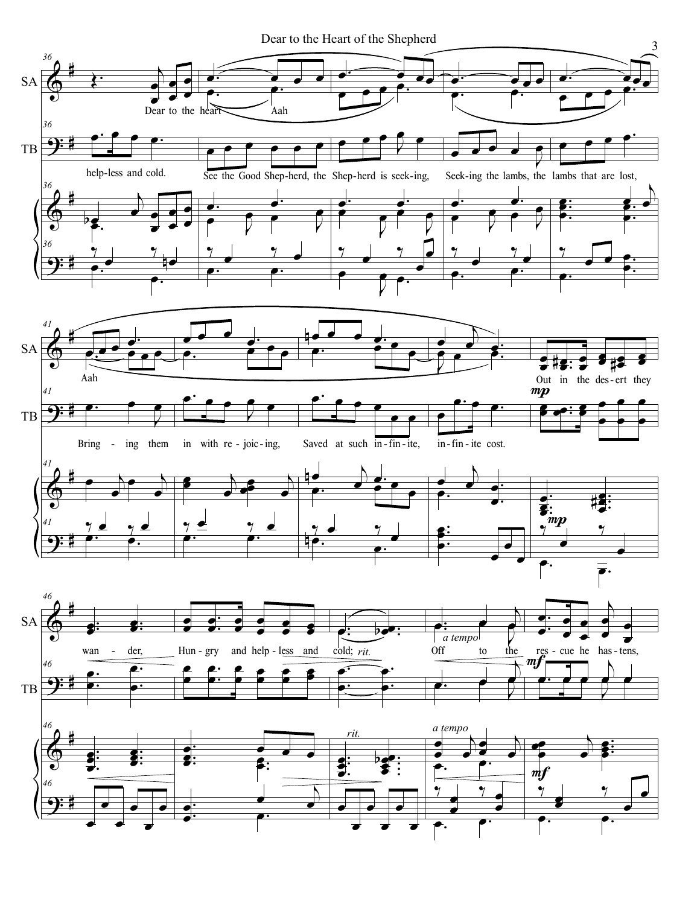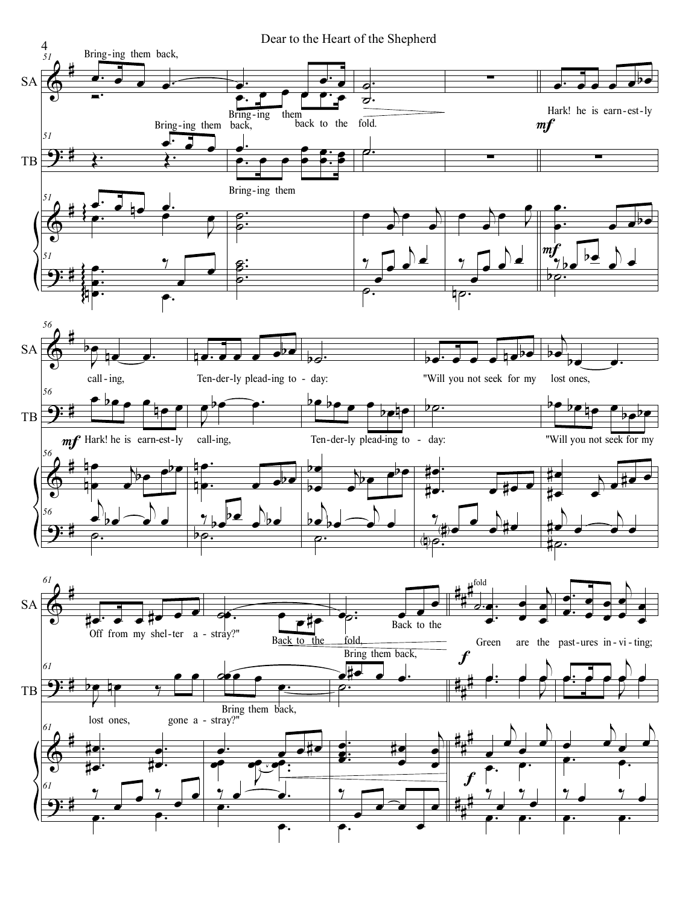Dear to the Heart of the Shepherd

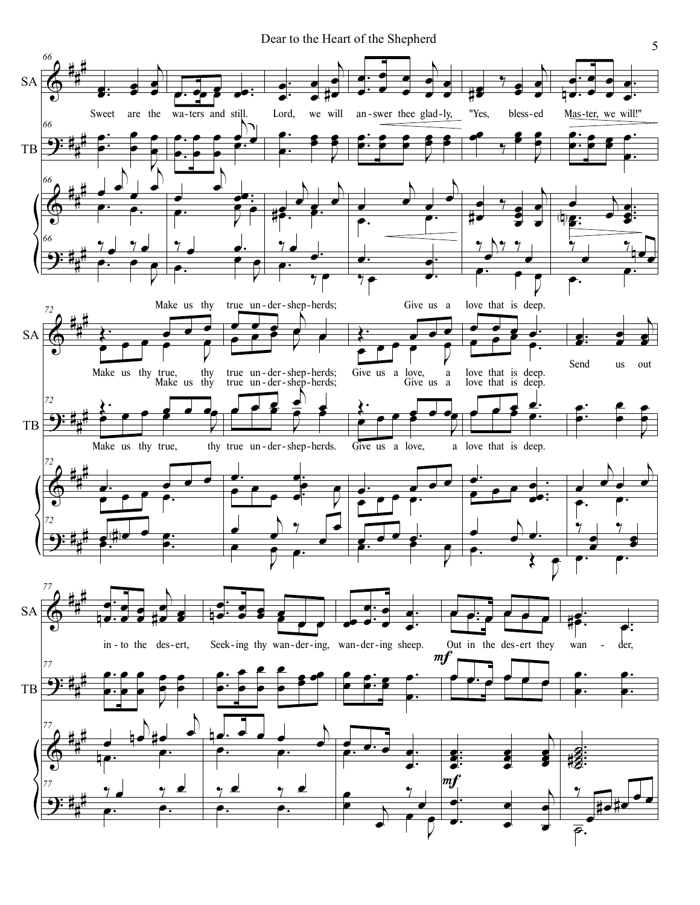Dear to the Heart of the Shepherd